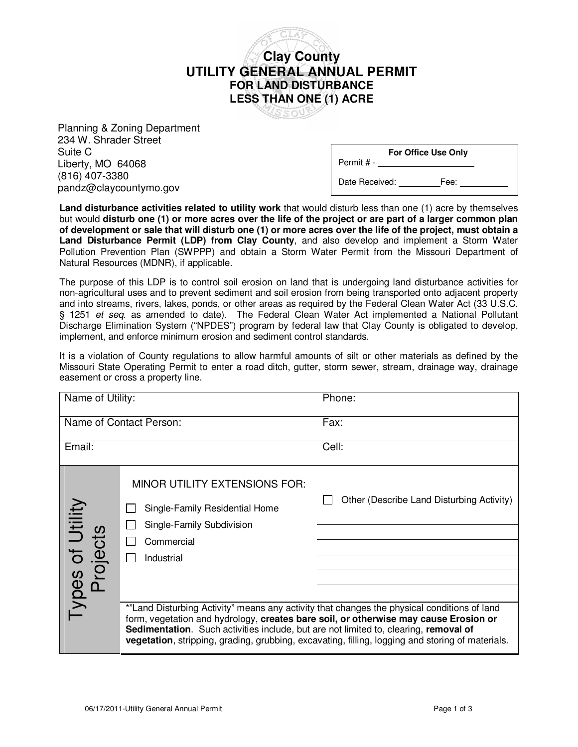

Planning & Zoning Department 234 W. Shrader Street Suite C Liberty, MO 64068 (816) 407-3380 pandz@claycountymo.gov

**For Office Use Only**

Date Received: Fee:

Permit # -

**Land disturbance activities related to utility work** that would disturb less than one (1) acre by themselves but would **disturb one (1) or more acres over the life of the project or are part of a larger common plan of development or sale that will disturb one (1) or more acres over the life of the project, must obtain a Land Disturbance Permit (LDP) from Clay County**, and also develop and implement a Storm Water Pollution Prevention Plan (SWPPP) and obtain a Storm Water Permit from the Missouri Department of Natural Resources (MDNR), if applicable.

The purpose of this LDP is to control soil erosion on land that is undergoing land disturbance activities for non-agricultural uses and to prevent sediment and soil erosion from being transported onto adjacent property and into streams, rivers, lakes, ponds, or other areas as required by the Federal Clean Water Act (33 U.S.C. § 1251 et seq. as amended to date). The Federal Clean Water Act implemented a National Pollutant Discharge Elimination System ("NPDES") program by federal law that Clay County is obligated to develop, implement, and enforce minimum erosion and sediment control standards.

It is a violation of County regulations to allow harmful amounts of silt or other materials as defined by the Missouri State Operating Permit to enter a road ditch, gutter, storm sewer, stream, drainage way, drainage easement or cross a property line.

| Name of Utility:             |                                                                                                                                                                                                                                                                             | Phone:                                                                                           |
|------------------------------|-----------------------------------------------------------------------------------------------------------------------------------------------------------------------------------------------------------------------------------------------------------------------------|--------------------------------------------------------------------------------------------------|
| Name of Contact Person:      |                                                                                                                                                                                                                                                                             | Fax:                                                                                             |
| Email:                       |                                                                                                                                                                                                                                                                             | Cell:                                                                                            |
| Types of Utility<br>Projects | <b>MINOR UTILITY EXTENSIONS FOR:</b><br>Single-Family Residential Home<br>Single-Family Subdivision<br>Commercial<br>Industrial                                                                                                                                             | Other (Describe Land Disturbing Activity)                                                        |
|                              | *"Land Disturbing Activity" means any activity that changes the physical conditions of land<br>form, vegetation and hydrology, creates bare soil, or otherwise may cause Erosion or<br>Sedimentation. Such activities include, but are not limited to, clearing, removal of | vegetation, stripping, grading, grubbing, excavating, filling, logging and storing of materials. |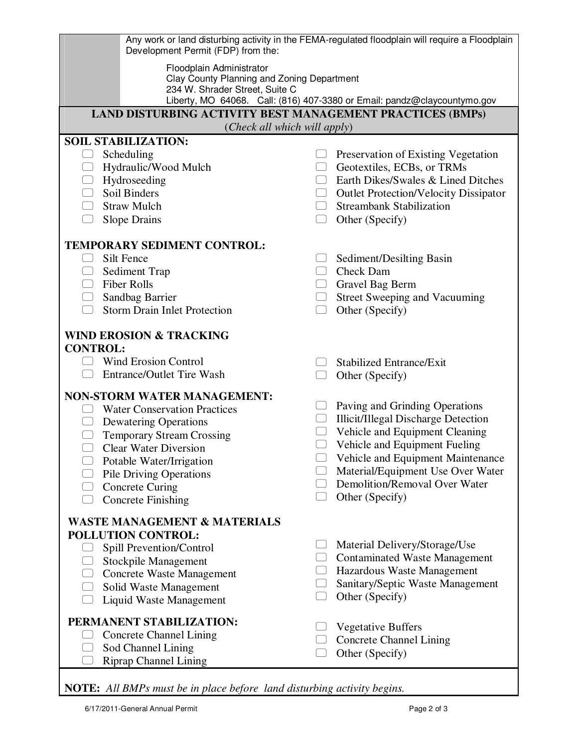| Development Permit (FDP) from the:                                                                       | Any work or land disturbing activity in the FEMA-regulated floodplain will require a Floodplain |  |  |  |  |
|----------------------------------------------------------------------------------------------------------|-------------------------------------------------------------------------------------------------|--|--|--|--|
| Floodplain Administrator<br>Clay County Planning and Zoning Department<br>234 W. Shrader Street, Suite C | Liberty, MO 64068. Call: (816) 407-3380 or Email: pandz@claycountymo.gov                        |  |  |  |  |
| LAND DISTURBING ACTIVITY BEST MANAGEMENT PRACTICES (BMPs)                                                |                                                                                                 |  |  |  |  |
| (Check all which will apply)                                                                             |                                                                                                 |  |  |  |  |
| <b>SOIL STABILIZATION:</b>                                                                               |                                                                                                 |  |  |  |  |
| Scheduling                                                                                               | Preservation of Existing Vegetation                                                             |  |  |  |  |
| Hydraulic/Wood Mulch                                                                                     | Geotextiles, ECBs, or TRMs                                                                      |  |  |  |  |
| Hydroseeding                                                                                             | Earth Dikes/Swales & Lined Ditches                                                              |  |  |  |  |
| Soil Binders                                                                                             | <b>Outlet Protection/Velocity Dissipator</b><br>U                                               |  |  |  |  |
| <b>Straw Mulch</b>                                                                                       | <b>Streambank Stabilization</b><br>$\begin{array}{ccc} \end{array}$                             |  |  |  |  |
| Slope Drains<br>n l                                                                                      | Other (Specify)<br>$\begin{pmatrix} 1 & 1 \\ 1 & 1 \end{pmatrix}$                               |  |  |  |  |
|                                                                                                          |                                                                                                 |  |  |  |  |
| <b>TEMPORARY SEDIMENT CONTROL:</b>                                                                       |                                                                                                 |  |  |  |  |
| Silt Fence                                                                                               | Sediment/Desilting Basin                                                                        |  |  |  |  |
| Sediment Trap                                                                                            | Check Dam<br>$\begin{pmatrix} 1 & 1 \\ 1 & 1 \end{pmatrix}$                                     |  |  |  |  |
| <b>Fiber Rolls</b>                                                                                       | Gravel Bag Berm                                                                                 |  |  |  |  |
| Sandbag Barrier                                                                                          | Street Sweeping and Vacuuming                                                                   |  |  |  |  |
| <b>Storm Drain Inlet Protection</b>                                                                      | Other (Specify)                                                                                 |  |  |  |  |
| <b>WIND EROSION &amp; TRACKING</b>                                                                       |                                                                                                 |  |  |  |  |
| <b>CONTROL:</b>                                                                                          |                                                                                                 |  |  |  |  |
| <b>Wind Erosion Control</b>                                                                              | <b>Stabilized Entrance/Exit</b>                                                                 |  |  |  |  |
| <b>Entrance/Outlet Tire Wash</b>                                                                         | Other (Specify)                                                                                 |  |  |  |  |
| <b>NON-STORM WATER MANAGEMENT:</b>                                                                       |                                                                                                 |  |  |  |  |
| <b>Water Conservation Practices</b>                                                                      | Paving and Grinding Operations<br>$\begin{pmatrix} 1 & 1 \\ 1 & 1 \end{pmatrix}$                |  |  |  |  |
| <b>Dewatering Operations</b>                                                                             | <b>Illicit/Illegal Discharge Detection</b><br>$[ \quad ]$                                       |  |  |  |  |
| <b>Temporary Stream Crossing</b>                                                                         | Vehicle and Equipment Cleaning                                                                  |  |  |  |  |
| <b>Clear Water Diversion</b>                                                                             | Vehicle and Equipment Fueling                                                                   |  |  |  |  |
| Potable Water/Irrigation                                                                                 | Vehicle and Equipment Maintenance                                                               |  |  |  |  |
| <b>Pile Driving Operations</b>                                                                           | Material/Equipment Use Over Water                                                               |  |  |  |  |
| <b>Concrete Curing</b>                                                                                   | Demolition/Removal Over Water                                                                   |  |  |  |  |
| <b>Concrete Finishing</b>                                                                                | Other (Specify)                                                                                 |  |  |  |  |
| <b>WASTE MANAGEMENT &amp; MATERIALS</b>                                                                  |                                                                                                 |  |  |  |  |
| POLLUTION CONTROL:                                                                                       |                                                                                                 |  |  |  |  |
| Spill Prevention/Control                                                                                 | Material Delivery/Storage/Use                                                                   |  |  |  |  |
| <b>Stockpile Management</b>                                                                              | <b>Contaminated Waste Management</b>                                                            |  |  |  |  |
| <b>Concrete Waste Management</b>                                                                         | Hazardous Waste Management                                                                      |  |  |  |  |
| Solid Waste Management                                                                                   | Sanitary/Septic Waste Management                                                                |  |  |  |  |
| Liquid Waste Management                                                                                  | Other (Specify)                                                                                 |  |  |  |  |
|                                                                                                          |                                                                                                 |  |  |  |  |
| PERMANENT STABILIZATION:                                                                                 | <b>Vegetative Buffers</b>                                                                       |  |  |  |  |
| <b>Concrete Channel Lining</b><br>Sod Channel Lining                                                     | <b>Concrete Channel Lining</b>                                                                  |  |  |  |  |
| <b>Riprap Channel Lining</b>                                                                             | Other (Specify)                                                                                 |  |  |  |  |

**NOTE:** *All BMPs must be in place before land disturbing activity begins.*